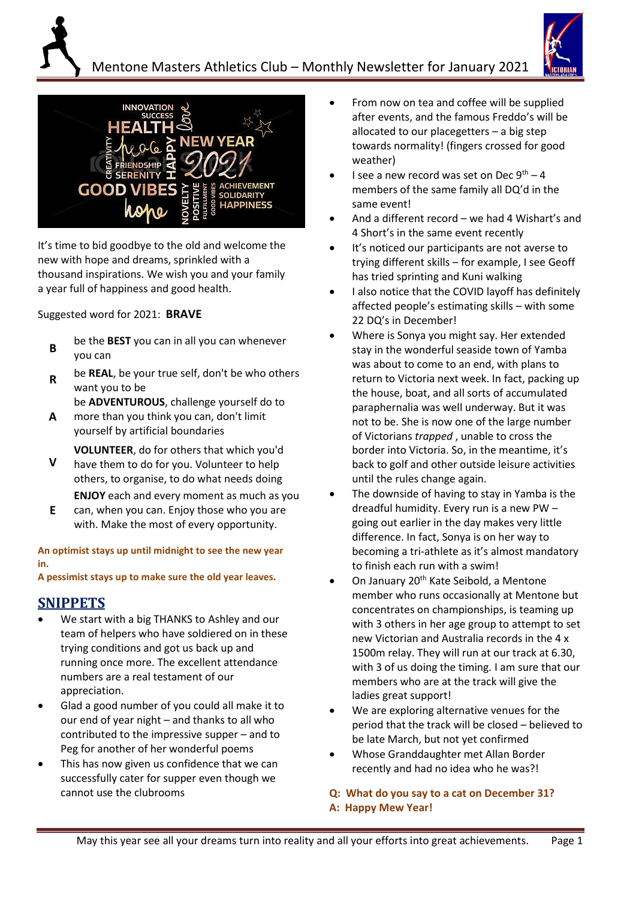





I It's time to bid goodbye to the old and welcome the new with hope and dreams, sprinkled with a thousand inspirations. We wish you and your family a year full of happiness and good health.

Suggested word for 2021: **BRAVE**

- **B** be the **BEST** you can in all you can whenever you can
- **R** be **REAL**, be your true self, don't be who others want you to be

be **ADVENTUROUS**, challenge yourself do to

- **A** more than you think you can, don't limit yourself by artificial boundaries
- **V VOLUNTEER**, do for others that which you'd have them to do for you. Volunteer to help others, to organise, to do what needs doing **ENJOY** each and every moment as much as you
- **E** can, when you can. Enjoy those who you are with. Make the most of every opportunity.

**An optimist stays up until midnight to see the new year in.**

**A pessimist stays up to make sure the old year leaves.**

### **SNIPPETS**

- We start with a big THANKS to Ashley and our team of helpers who have soldiered on in these trying conditions and got us back up and running once more. The excellent attendance numbers are a real testament of our appreciation.
- Glad a good number of you could all make it to our end of year night – and thanks to all who contributed to the impressive supper – and to Peg for another of her wonderful poems
- This has now given us confidence that we can successfully cater for supper even though we cannot use the clubrooms
- From now on tea and coffee will be supplied after events, and the famous Freddo's will be allocated to our placegetters – a big step towards normality! (fingers crossed for good weather)
- I see a new record was set on Dec  $9^{th} 4$ members of the same family all DQ'd in the same event!
- And a different record we had 4 Wishart's and 4 Short's in the same event recently
- It's noticed our participants are not averse to trying different skills – for example, I see Geoff has tried sprinting and Kuni walking
- I also notice that the COVID layoff has definitely affected people's estimating skills – with some 22 DQ's in December!
- Where is Sonya you might say. Her extended stay in the wonderful seaside town of Yamba was about to come to an end, with plans to return to Victoria next week. In fact, packing up the house, boat, and all sorts of accumulated paraphernalia was well underway. But it was not to be. She is now one of the large number of Victorians *trapped* , unable to cross the border into Victoria. So, in the meantime, it's back to golf and other outside leisure activities until the rules change again.
- The downside of having to stay in Yamba is the dreadful humidity. Every run is a new PW – going out earlier in the day makes very little difference. In fact, Sonya is on her way to becoming a tri-athlete as it's almost mandatory to finish each run with a swim!
- On January 20<sup>th</sup> Kate Seibold, a Mentone member who runs occasionally at Mentone but concentrates on championships, is teaming up with 3 others in her age group to attempt to set new Victorian and Australia records in the 4 x 1500m relay. They will run at our track at 6.30, with 3 of us doing the timing. I am sure that our members who are at the track will give the ladies great support!
- We are exploring alternative venues for the period that the track will be closed – believed to be late March, but not yet confirmed
- Whose Granddaughter met Allan Border recently and had no idea who he was?!

**Q: What do you say to a cat on December 31? A: Happy Mew Year!**